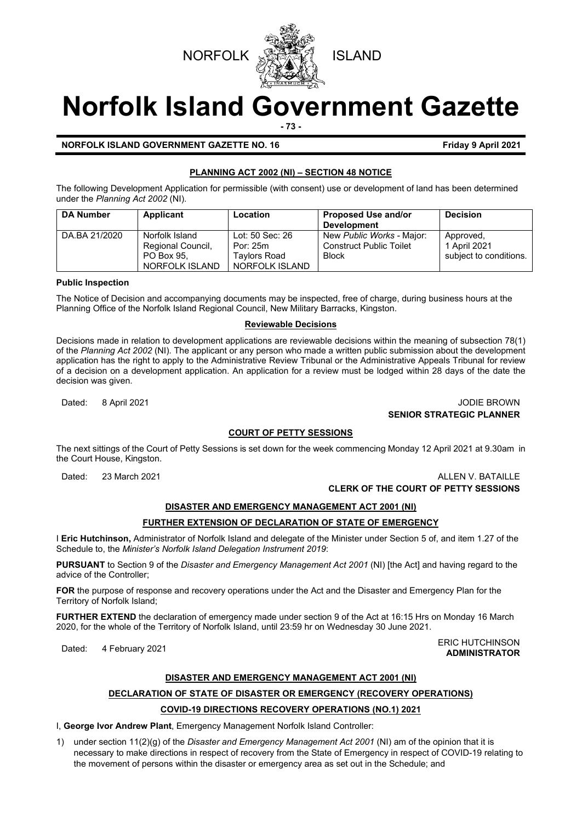

# **Norfolk Island Government Gazette**

**- 73 -**

**NORFOLK ISLAND GOVERNMENT GAZETTE NO. 16** Friday 9 April 2021

#### **PLANNING ACT 2002 (NI) – SECTION 48 NOTICE**

The following Development Application for permissible (with consent) use or development of land has been determined under the *Planning Act 2002* (NI).

| <b>DA Number</b> | Applicant                                                           | Location                                                      | <b>Proposed Use and/or</b><br><b>Development</b>                            | <b>Decision</b>                                     |
|------------------|---------------------------------------------------------------------|---------------------------------------------------------------|-----------------------------------------------------------------------------|-----------------------------------------------------|
| DA.BA 21/2020    | Norfolk Island<br>Regional Council,<br>PO Box 95.<br>NORFOLK ISLAND | Lot: 50 Sec: 26<br>Por: 25m<br>Tavlors Road<br>NORFOLK ISLAND | New Public Works - Major:<br><b>Construct Public Toilet</b><br><b>Block</b> | Approved,<br>1 April 2021<br>subject to conditions. |

#### **Public Inspection**

The Notice of Decision and accompanying documents may be inspected, free of charge, during business hours at the Planning Office of the Norfolk Island Regional Council, New Military Barracks, Kingston.

#### **Reviewable Decisions**

Decisions made in relation to development applications are reviewable decisions within the meaning of subsection 78(1) of the *Planning Act 2002* (NI)*.* The applicant or any person who made a written public submission about the development application has the right to apply to the Administrative Review Tribunal or the Administrative Appeals Tribunal for review of a decision on a development application. An application for a review must be lodged within 28 days of the date the decision was given.

Dated: 8 April 2021 JODIE BROWN **SENIOR STRATEGIC PLANNER** 

#### **COURT OF PETTY SESSIONS**

The next sittings of the Court of Petty Sessions is set down for the week commencing Monday 12 April 2021 at 9.30am in the Court House, Kingston.

Dated: 23 March 2021 **ALLEN V. BATAILLE CLERK OF THE COURT OF PETTY SESSIONS**

**ADMINISTRATOR**

### **DISASTER AND EMERGENCY MANAGEMENT ACT 2001 (NI)**

#### **FURTHER EXTENSION OF DECLARATION OF STATE OF EMERGENCY**

I **Eric Hutchinson,** Administrator of Norfolk Island and delegate of the Minister under Section 5 of, and item 1.27 of the Schedule to, the *Minister's Norfolk Island Delegation Instrument 2019*:

**PURSUANT** to Section 9 of the *Disaster and Emergency Management Act 2001* (NI) [the Act] and having regard to the advice of the Controller;

**FOR** the purpose of response and recovery operations under the Act and the Disaster and Emergency Plan for the Territory of Norfolk Island;

**FURTHER EXTEND** the declaration of emergency made under section 9 of the Act at 16:15 Hrs on Monday 16 March 2020, for the whole of the Territory of Norfolk Island, until 23:59 hr on Wednesday 30 June 2021.

ERIC HUTCHINSON<br> **Dated:** 4 February 2021

#### **DISASTER AND EMERGENCY MANAGEMENT ACT 2001 (NI)**

#### **DECLARATION OF STATE OF DISASTER OR EMERGENCY (RECOVERY OPERATIONS)**

#### **COVID-19 DIRECTIONS RECOVERY OPERATIONS (NO.1) 2021**

I, **George Ivor Andrew Plant**, Emergency Management Norfolk Island Controller:

1) under section 11(2)(g) of the *Disaster and Emergency Management Act 2001* (NI) am of the opinion that it is necessary to make directions in respect of recovery from the State of Emergency in respect of COVID-19 relating to the movement of persons within the disaster or emergency area as set out in the Schedule; and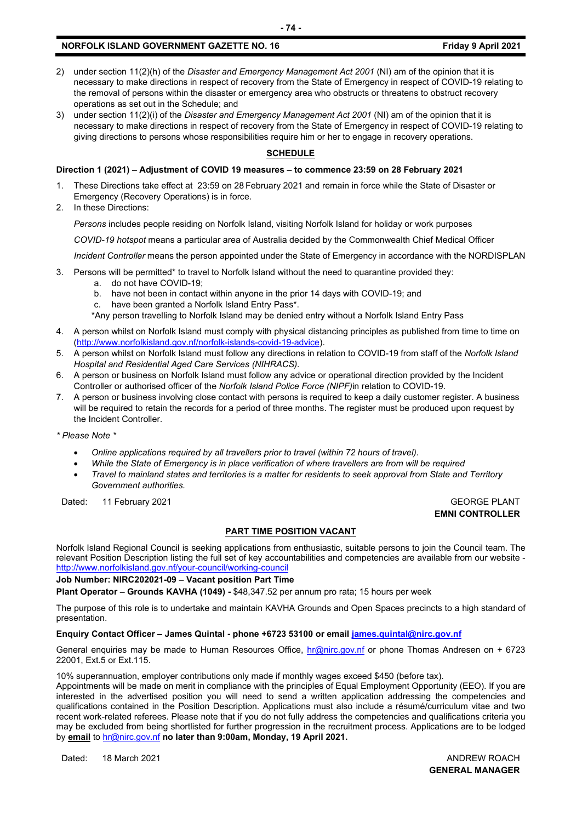#### **NORFOLK ISLAND GOVERNMENT GAZETTE NO. 16 Friday 9 April 2021**

- 2) under section 11(2)(h) of the *Disaster and Emergency Management Act 2001* (NI) am of the opinion that it is necessary to make directions in respect of recovery from the State of Emergency in respect of COVID-19 relating to the removal of persons within the disaster or emergency area who obstructs or threatens to obstruct recovery operations as set out in the Schedule; and
- 3) under section 11(2)(i) of the *Disaster and Emergency Management Act 2001* (NI) am of the opinion that it is necessary to make directions in respect of recovery from the State of Emergency in respect of COVID-19 relating to giving directions to persons whose responsibilities require him or her to engage in recovery operations.

#### **SCHEDULE**

#### **Direction 1 (2021) – Adjustment of COVID 19 measures – to commence 23:59 on 28 February 2021**

- 1. These Directions take effect at 23:59 on 28 February 2021 and remain in force while the State of Disaster or Emergency (Recovery Operations) is in force.
- 2. In these Directions:

*Persons* includes people residing on Norfolk Island, visiting Norfolk Island for holiday or work purposes

*COVID-19 hotspot* means a particular area of Australia decided by the Commonwealth Chief Medical Officer

*Incident Controller* means the person appointed under the State of Emergency in accordance with the NORDISPLAN

- 3. Persons will be permitted\* to travel to Norfolk Island without the need to quarantine provided they:
	- a. do not have COVID-19;
	- b. have not been in contact within anyone in the prior 14 days with COVID-19; and
	- c. have been granted a Norfolk Island Entry Pass\*.
	- \*Any person travelling to Norfolk Island may be denied entry without a Norfolk Island Entry Pass
- 4. A person whilst on Norfolk Island must comply with physical distancing principles as published from time to time on [\(http://www.norfolkisland.gov.nf/norfolk-islands-covid-19-advice\)](http://www.norfolkisland.gov.nf/norfolk-islands-covid-19-advice).
- 5. A person whilst on Norfolk Island must follow any directions in relation to COVID-19 from staff of the *Norfolk Island Hospital and Residential Aged Care Services (NIHRACS).*
- 6. A person or business on Norfolk Island must follow any advice or operational direction provided by the Incident Controller or authorised officer of the *Norfolk Island Police Force (NIPF)*in relation to COVID-19.
- 7. A person or business involving close contact with persons is required to keep a daily customer register. A business will be required to retain the records for a period of three months. The register must be produced upon request by the Incident Controller.

*\* Please Note \** 

- *Online applications required by all travellers prior to travel (within 72 hours of travel).*
- *While the State of Emergency is in place verification of where travellers are from will be required*
- *Travel to mainland states and territories is a matter for residents to seek approval from State and Territory Government authorities.*

Dated: 11 February 2021 Contract Contract Contract Contract Contract Contract Contract Contract Contract Contract Contract Contract Contract Contract Contract Contract Contract Contract Contract Contract Contract Contract

## **EMNI CONTROLLER**

#### **PART TIME POSITION VACANT**

Norfolk Island Regional Council is seeking applications from enthusiastic, suitable persons to join the Council team. The relevant Position Description listing the full set of key accountabilities and competencies are available from our website <http://www.norfolkisland.gov.nf/your-council/working-council>

**Job Number: NIRC202021-09 – Vacant position Part Time**

**Plant Operator – Grounds KAVHA (1049) -** \$48,347.52 per annum pro rata; 15 hours per week

The purpose of this role is to undertake and maintain KAVHA Grounds and Open Spaces precincts to a high standard of presentation.

**Enquiry Contact Officer – James Quintal - phone +6723 53100 or email [james.quintal@nirc.gov.nf](mailto:james.quintal@nirc.gov.nf)**

General enquiries may be made to Human Resources Office, [hr@nirc.gov.nf](mailto:hr@nirc.gov.nf) or phone Thomas Andresen on + 6723 22001, Ext.5 or Ext.115.

10% superannuation, employer contributions only made if monthly wages exceed \$450 (before tax).

Appointments will be made on merit in compliance with the principles of Equal Employment Opportunity (EEO). If you are interested in the advertised position you will need to send a written application addressing the competencies and qualifications contained in the Position Description. Applications must also include a résumé/curriculum vitae and two recent work-related referees. Please note that if you do not fully address the competencies and qualifications criteria you may be excluded from being shortlisted for further progression in the recruitment process. Applications are to be lodged by **email** to [hr@nirc.gov.nf](mailto:hr@nirc.gov.nf) **no later than 9:00am, Monday, 19 April 2021.** 

Dated: 18 March 2021 **ANDREW ROACH** 

**GENERAL MANAGER**